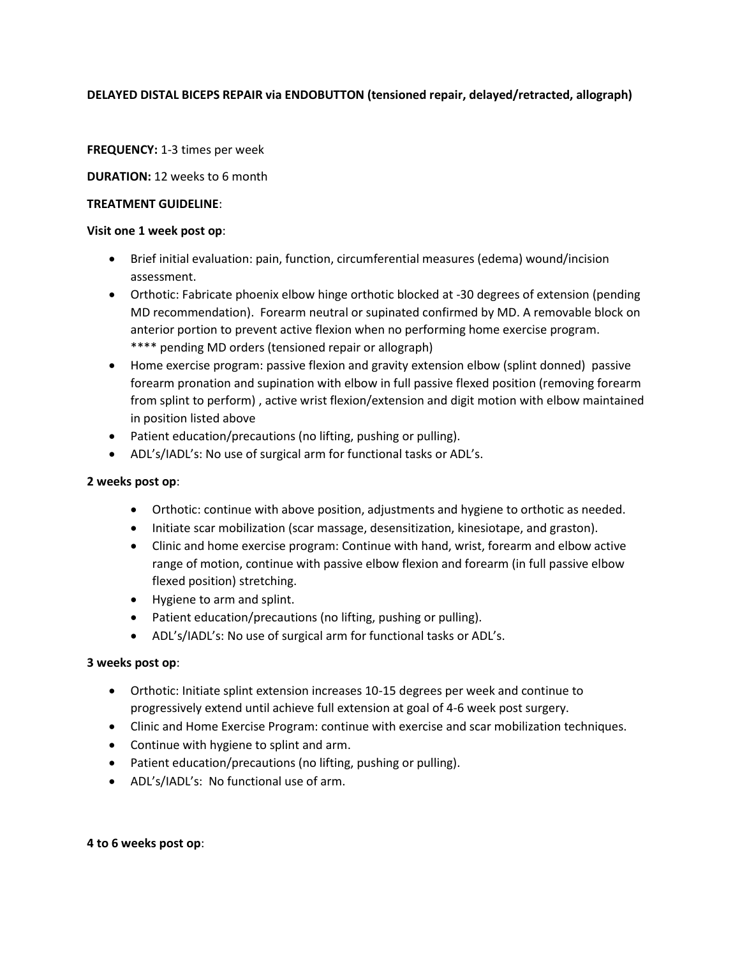## **DELAYED DISTAL BICEPS REPAIR via ENDOBUTTON (tensioned repair, delayed/retracted, allograph)**

### **FREQUENCY:** 1-3 times per week

#### **DURATION:** 12 weeks to 6 month

#### **TREATMENT GUIDELINE**:

#### **Visit one 1 week post op**:

- Brief initial evaluation: pain, function, circumferential measures (edema) wound/incision assessment.
- Orthotic: Fabricate phoenix elbow hinge orthotic blocked at -30 degrees of extension (pending MD recommendation). Forearm neutral or supinated confirmed by MD. A removable block on anterior portion to prevent active flexion when no performing home exercise program. \*\*\*\* pending MD orders (tensioned repair or allograph)
- Home exercise program: passive flexion and gravity extension elbow (splint donned) passive forearm pronation and supination with elbow in full passive flexed position (removing forearm from splint to perform) , active wrist flexion/extension and digit motion with elbow maintained in position listed above
- Patient education/precautions (no lifting, pushing or pulling).
- ADL's/IADL's: No use of surgical arm for functional tasks or ADL's.

### **2 weeks post op**:

- Orthotic: continue with above position, adjustments and hygiene to orthotic as needed.
- Initiate scar mobilization (scar massage, desensitization, kinesiotape, and graston).
- Clinic and home exercise program: Continue with hand, wrist, forearm and elbow active range of motion, continue with passive elbow flexion and forearm (in full passive elbow flexed position) stretching.
- Hygiene to arm and splint.
- Patient education/precautions (no lifting, pushing or pulling).
- ADL's/IADL's: No use of surgical arm for functional tasks or ADL's.

### **3 weeks post op**:

- Orthotic: Initiate splint extension increases 10-15 degrees per week and continue to progressively extend until achieve full extension at goal of 4-6 week post surgery.
- Clinic and Home Exercise Program: continue with exercise and scar mobilization techniques.
- Continue with hygiene to splint and arm.
- Patient education/precautions (no lifting, pushing or pulling).
- ADL's/IADL's: No functional use of arm.

#### **4 to 6 weeks post op**: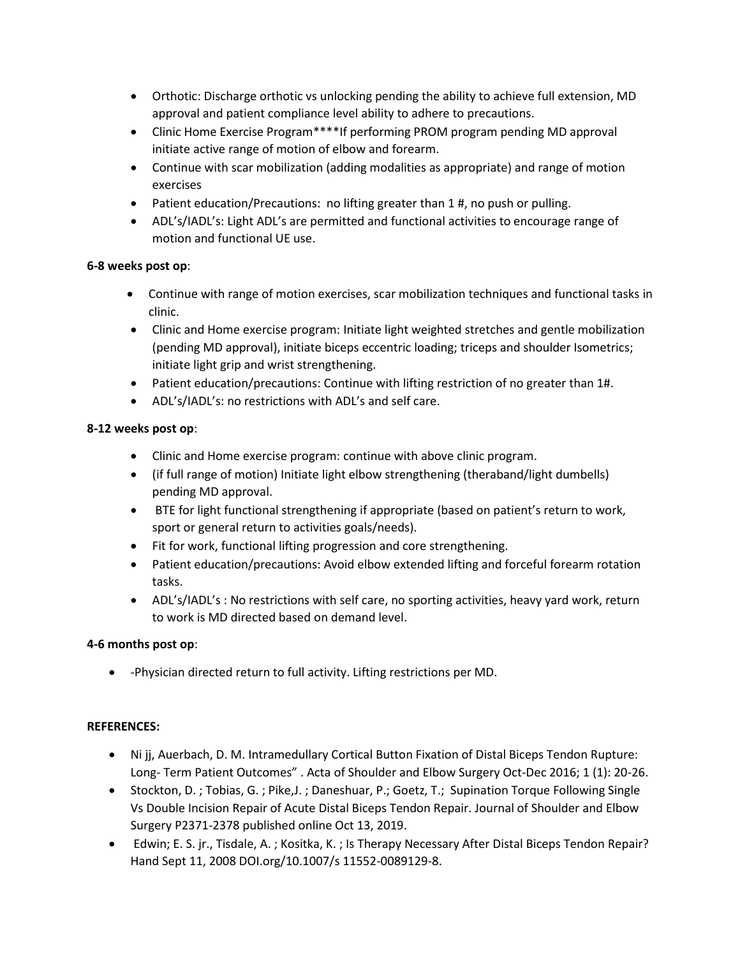- Orthotic: Discharge orthotic vs unlocking pending the ability to achieve full extension, MD approval and patient compliance level ability to adhere to precautions.
- Clinic Home Exercise Program\*\*\*\*If performing PROM program pending MD approval initiate active range of motion of elbow and forearm.
- Continue with scar mobilization (adding modalities as appropriate) and range of motion exercises
- Patient education/Precautions: no lifting greater than 1 #, no push or pulling.
- ADL's/IADL's: Light ADL's are permitted and functional activities to encourage range of motion and functional UE use.

## **6-8 weeks post op**:

- Continue with range of motion exercises, scar mobilization techniques and functional tasks in clinic.
- Clinic and Home exercise program: Initiate light weighted stretches and gentle mobilization (pending MD approval), initiate biceps eccentric loading; triceps and shoulder Isometrics; initiate light grip and wrist strengthening.
- Patient education/precautions: Continue with lifting restriction of no greater than 1#.
- ADL's/IADL's: no restrictions with ADL's and self care.

# **8-12 weeks post op**:

- Clinic and Home exercise program: continue with above clinic program.
- (if full range of motion) Initiate light elbow strengthening (theraband/light dumbells) pending MD approval.
- BTE for light functional strengthening if appropriate (based on patient's return to work, sport or general return to activities goals/needs).
- Fit for work, functional lifting progression and core strengthening.
- Patient education/precautions: Avoid elbow extended lifting and forceful forearm rotation tasks.
- ADL's/IADL's : No restrictions with self care, no sporting activities, heavy yard work, return to work is MD directed based on demand level.

# **4-6 months post op**:

-Physician directed return to full activity. Lifting restrictions per MD.

## **REFERENCES:**

- Ni jj, Auerbach, D. M. Intramedullary Cortical Button Fixation of Distal Biceps Tendon Rupture: Long- Term Patient Outcomes" . Acta of Shoulder and Elbow Surgery Oct-Dec 2016; 1 (1): 20-26.
- Stockton, D. ; Tobias, G. ; Pike,J. ; Daneshuar, P.; Goetz, T.; Supination Torque Following Single Vs Double Incision Repair of Acute Distal Biceps Tendon Repair. Journal of Shoulder and Elbow Surgery P2371-2378 published online Oct 13, 2019.
- Edwin; E. S. jr., Tisdale, A. ; Kositka, K. ; Is Therapy Necessary After Distal Biceps Tendon Repair? Hand Sept 11, 2008 DOI.org/10.1007/s 11552-0089129-8.